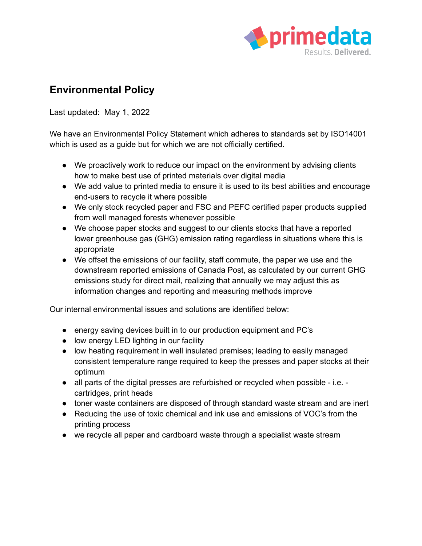

## **Environmental Policy**

Last updated: May 1, 2022

We have an Environmental Policy Statement which adheres to standards set by ISO14001 which is used as a guide but for which we are not officially certified.

- We proactively work to reduce our impact on the environment by advising clients how to make best use of printed materials over digital media
- We add value to printed media to ensure it is used to its best abilities and encourage end-users to recycle it where possible
- We only stock recycled paper and FSC and PEFC certified paper products supplied from well managed forests whenever possible
- We choose paper stocks and suggest to our clients stocks that have a reported lower greenhouse gas (GHG) emission rating regardless in situations where this is appropriate
- We offset the emissions of our facility, staff commute, the paper we use and the downstream reported emissions of Canada Post, as calculated by our current GHG emissions study for direct mail, realizing that annually we may adjust this as information changes and reporting and measuring methods improve

Our internal environmental issues and solutions are identified below:

- energy saving devices built in to our production equipment and PC's
- low energy LED lighting in our facility
- low heating requirement in well insulated premises; leading to easily managed consistent temperature range required to keep the presses and paper stocks at their optimum
- all parts of the digital presses are refurbished or recycled when possible i.e. cartridges, print heads
- toner waste containers are disposed of through standard waste stream and are inert
- Reducing the use of toxic chemical and ink use and emissions of VOC's from the printing process
- we recycle all paper and cardboard waste through a specialist waste stream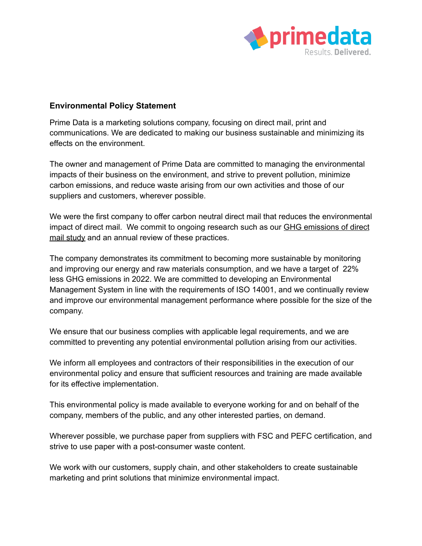

## **Environmental Policy Statement**

Prime Data is a marketing solutions company, focusing on direct mail, print and communications. We are dedicated to making our business sustainable and minimizing its effects on the environment.

The owner and management of Prime Data are committed to managing the environmental impacts of their business on the environment, and strive to prevent pollution, minimize carbon emissions, and reduce waste arising from our own activities and those of our suppliers and customers, wherever possible.

We were the first company to offer carbon neutral direct mail that reduces the environmental impact of direct mail. We commit to ongoing research such as our **GHG [emissions](https://primedata.ca/about-us/sustainability/carbon-neutral-direct-mail/) of direct** mail [study](https://primedata.ca/about-us/sustainability/carbon-neutral-direct-mail/) and an annual review of these practices.

The company demonstrates its commitment to becoming more sustainable by monitoring and improving our energy and raw materials consumption, and we have a target of 22% less GHG emissions in 2022. We are committed to developing an Environmental Management System in line with the requirements of ISO 14001, and we continually review and improve our environmental management performance where possible for the size of the company.

We ensure that our business complies with applicable legal requirements, and we are committed to preventing any potential environmental pollution arising from our activities.

We inform all employees and contractors of their responsibilities in the execution of our environmental policy and ensure that sufficient resources and training are made available for its effective implementation.

This environmental policy is made available to everyone working for and on behalf of the company, members of the public, and any other interested parties, on demand.

Wherever possible, we purchase paper from suppliers with FSC and PEFC certification, and strive to use paper with a post-consumer waste content.

We work with our customers, supply chain, and other stakeholders to create sustainable marketing and print solutions that minimize environmental impact.